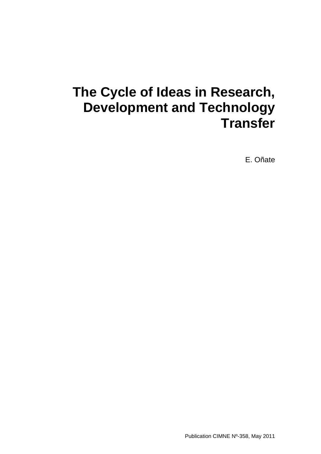## **The Cycle of Ideas in Research, Development and Technology Transfer**

E. Oñate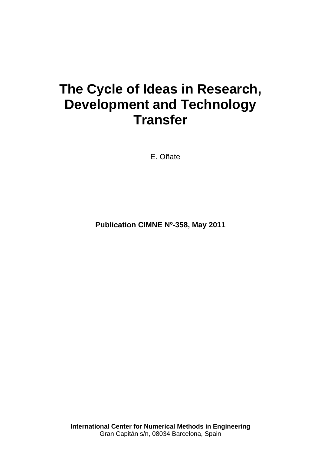# **The Cycle of Ideas in Research, Development and Technology Transfer**

E. Oñate

**Publication CIMNE Nº-358, May 2011** 

**International Center for Numerical Methods in Engineering**  Gran Capitán s/n, 08034 Barcelona, Spain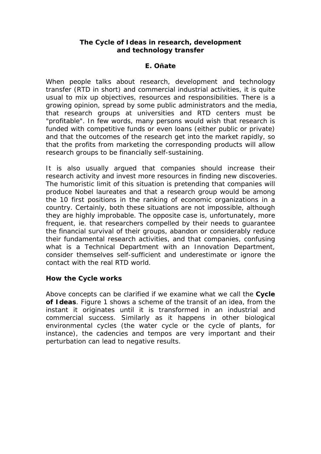#### **The Cycle of Ideas in research, development and technology transfer**

### **E. Oñate**

When people talks about research, development and technology transfer (RTD in short) and commercial industrial activities, it is quite usual to mix up objectives, resources and responsibilities. There is a growing opinion, spread by some public administrators and the media, that research groups at universities and RTD centers must be "profitable". In few words, many persons would wish that research is funded with competitive funds or even loans (either public or private) and that the outcomes of the research get into the market rapidly, so that the profits from marketing the corresponding products will allow research groups to be financially self-sustaining.

It is also usually argued that companies should increase their research activity and invest more resources in finding new discoveries. The humoristic limit of this situation is pretending that companies will produce Nobel laureates and that a research group would be among the 10 first positions in the ranking of economic organizations in a country. Certainly, both these situations are not impossible, although they are highly improbable. The opposite case is, unfortunately, more frequent, ie. that researchers compelled by their needs to guarantee the financial survival of their groups, abandon or considerably reduce their fundamental research activities, and that companies, confusing what is a Technical Department with an Innovation Department, consider themselves self-sufficient and underestimate or ignore the contact with the real RTD world.

#### **How the Cycle works**

Above concepts can be clarified if we examine what we call the **Cycle of Ideas**. Figure 1 shows a scheme of the transit of an idea, from the instant it originates until it is transformed in an industrial and commercial success. Similarly as it happens in other biological environmental cycles (the water cycle or the cycle of plants, for instance), the cadencies and tempos are very important and their perturbation can lead to negative results.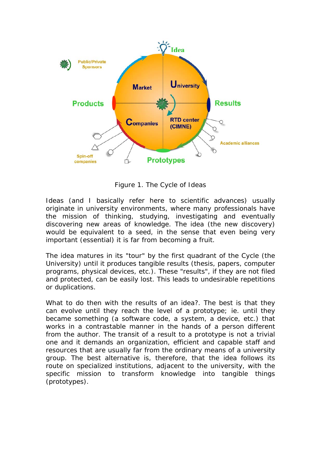

Figure 1. The Cycle of Ideas

Ideas (and I basically refer here to scientific advances) usually originate in university environments, where many professionals have the mission of thinking, studying, investigating and eventually discovering new areas of knowledge. The idea (the new discovery) would be equivalent to a seed, in the sense that even being very important (essential) it is far from becoming a fruit.

The idea matures in its "*tour*" by the first quadrant of the Cycle (the University) until it produces tangible results (thesis, papers, computer programs, physical devices, etc.). These "results", if they are not filed and protected, can be easily lost. This leads to undesirable repetitions or duplications.

What to do then with the results of an idea?. The best is that they can evolve until they reach the level of a prototype; ie. until they became something (a software code, a system, a device, etc.) that works in a contrastable manner in the hands of a person different from the author. The transit of a *result* to a *prototype* is not a trivial one and it demands an organization, efficient and capable staff and resources that are usually far from the ordinary means of a university group. The best alternative is, therefore, that the idea follows its route on specialized institutions, adjacent to the university, with the specific mission to transform knowledge into tangible things (prototypes).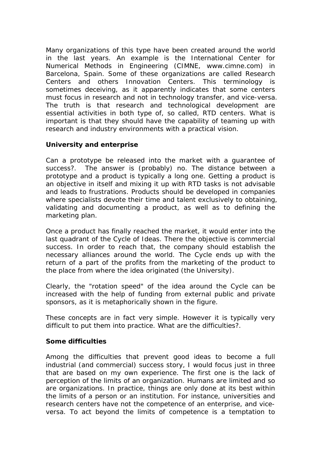Many organizations of this type have been created around the world in the last years. An example is the International Center for Numerical Methods in Engineering (CIMNE, www.cimne.com) in Barcelona, Spain. Some of these organizations are called Research Centers and others Innovation Centers. This terminology is sometimes deceiving, as it apparently indicates that some centers must focus in research and not in technology transfer, and vice-versa. The truth is that research and technological development are essential activities in both type of, so called, RTD centers. What is important is that they should have the capability of teaming up with research and industry environments with a practical vision.

#### **University and enterprise**

Can a prototype be released into the market with a guarantee of success?. The answer is (probably) no. The distance between a prototype and a product is typically a long one. Getting a product is an objective in itself and mixing it up with RTD tasks is not advisable and leads to frustrations. Products should be developed in companies where specialists devote their time and talent exclusively to obtaining, validating and documenting a product, as well as to defining the marketing plan.

Once a product has finally reached the market, it would enter into the last quadrant of the Cycle of Ideas. There the objective is commercial success. In order to reach that, the company should establish the necessary alliances around the world. The Cycle ends up with the return of a part of the profits from the marketing of the product to the place from where the idea originated (the University).

Clearly, the "rotation speed" of the idea around the Cycle can be increased with the help of funding from external public and private sponsors, as it is metaphorically shown in the figure.

These concepts are in fact very simple. However it is typically very difficult to put them into practice. What are the difficulties?.

#### **Some difficulties**

Among the difficulties that prevent good ideas to become a full industrial (and commercial) success story, I would focus just in three that are based on my own experience. The first one is the lack of perception of the limits of an organization. Humans are limited and so are organizations. In practice, things are only done at its best within the limits of a person or an institution. For instance, universities and research centers have not the competence of an enterprise, and viceversa. To act beyond the *limits of competence* is a temptation to